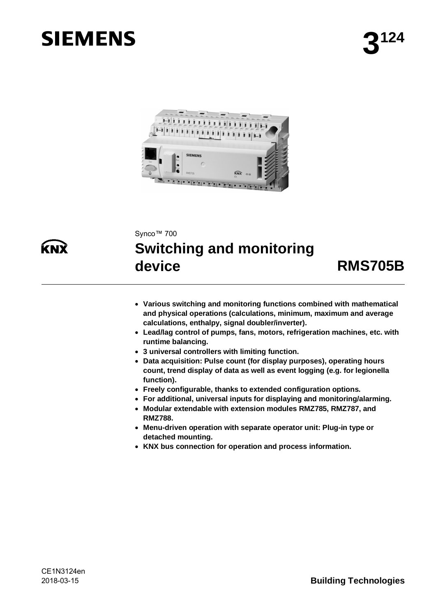# **SIEMENS**





#### Synco™ 700

## **Switching and monitoring device RMS705B**

- · **Various switching and monitoring functions combined with mathematical and physical operations (calculations, minimum, maximum and average calculations, enthalpy, signal doubler/inverter).**
- · **Lead/lag control of pumps, fans, motors, refrigeration machines, etc. with runtime balancing.**
- · **3 universal controllers with limiting function.**
- · **Data acquisition: Pulse count (for display purposes), operating hours count, trend display of data as well as event logging (e.g. for legionella function).**
- · **Freely configurable, thanks to extended configuration options.**
- · **For additional, universal inputs for displaying and monitoring/alarming.**
- · **Modular extendable with extension modules RMZ785, RMZ787, and RMZ788.**
- · **Menu-driven operation with separate operator unit: Plug-in type or detached mounting.**
- · **KNX bus connection for operation and process information.**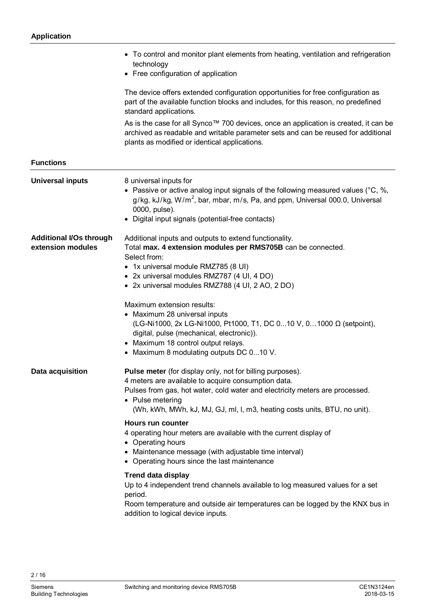|                                                     | • To control and monitor plant elements from heating, ventilation and refrigeration<br>technology<br>• Free configuration of application                                                                                                                                                          |
|-----------------------------------------------------|---------------------------------------------------------------------------------------------------------------------------------------------------------------------------------------------------------------------------------------------------------------------------------------------------|
|                                                     | The device offers extended configuration opportunities for free configuration as<br>part of the available function blocks and includes, for this reason, no predefined<br>standard applications.                                                                                                  |
|                                                     | As is the case for all Synco™ 700 devices, once an application is created, it can be<br>archived as readable and writable parameter sets and can be reused for additional<br>plants as modified or identical applications.                                                                        |
| <b>Functions</b>                                    |                                                                                                                                                                                                                                                                                                   |
| <b>Universal inputs</b>                             | 8 universal inputs for<br>• Passive or active analog input signals of the following measured values ( $^{\circ}$ C, %,<br>$g/kg$ , kJ/kg, W/m <sup>2</sup> , bar, mbar, m/s, Pa, and ppm, Universal 000.0, Universal<br>0000, pulse).<br>• Digital input signals (potential-free contacts)        |
| <b>Additional I/Os through</b><br>extension modules | Additional inputs and outputs to extend functionality.<br>Total max. 4 extension modules per RMS705B can be connected.<br>Select from:<br>• 1x universal module RMZ785 (8 UI)<br>• 2x universal modules RMZ787 (4 UI, 4 DO)<br>• 2x universal modules RMZ788 (4 UI, 2 AO, 2 DO)                   |
|                                                     | Maximum extension results:<br>• Maximum 28 universal inputs<br>(LG-Ni1000, 2x LG-Ni1000, Pt1000, T1, DC 010 V, 01000 Ω (setpoint),<br>digital, pulse (mechanical, electronic)).<br>• Maximum 18 control output relays.<br>• Maximum 8 modulating outputs DC 010 V.                                |
| Data acquisition                                    | Pulse meter (for display only, not for billing purposes).<br>4 meters are available to acquire consumption data.<br>Pulses from gas, hot water, cold water and electricity meters are processed.<br>• Pulse metering<br>(Wh, kWh, MWh, kJ, MJ, GJ, ml, l, m3, heating costs units, BTU, no unit). |
|                                                     | Hours run counter<br>4 operating hour meters are available with the current display of<br>• Operating hours<br>• Maintenance message (with adjustable time interval)<br>• Operating hours since the last maintenance                                                                              |
|                                                     | <b>Trend data display</b><br>Up to 4 independent trend channels available to log measured values for a set<br>period.<br>Room temperature and outside air temperatures can be logged by the KNX bus in<br>addition to logical device inputs.                                                      |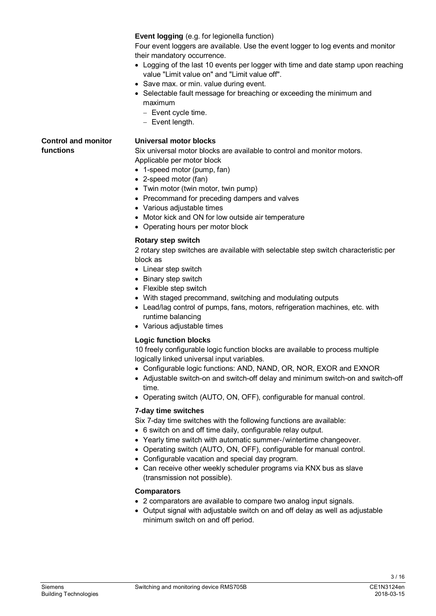**Event logging** (e.g. for legionella function)

Four event loggers are available. Use the event logger to log events and monitor their mandatory occurrence.

- · Logging of the last 10 events per logger with time and date stamp upon reaching value "Limit value on" and "Limit value off".
- · Save max. or min. value during event.
- · Selectable fault message for breaching or exceeding the minimum and maximum
	- Event cycle time.
	- Event length.

**Control and monitor functions**

#### **Universal motor blocks**

Six universal motor blocks are available to control and monitor motors. Applicable per motor block

- · 1-speed motor (pump, fan)
- · 2-speed motor (fan)
- Twin motor (twin motor, twin pump)
- · Precommand for preceding dampers and valves
- Various adiustable times
- · Motor kick and ON for low outside air temperature
- · Operating hours per motor block

#### **Rotary step switch**

2 rotary step switches are available with selectable step switch characteristic per block as

- Linear step switch
- · Binary step switch
- Flexible step switch
- · With staged precommand, switching and modulating outputs
- · Lead/lag control of pumps, fans, motors, refrigeration machines, etc. with runtime balancing
- · Various adjustable times

#### **Logic function blocks**

10 freely configurable logic function blocks are available to process multiple logically linked universal input variables.

- · Configurable logic functions: AND, NAND, OR, NOR, EXOR and EXNOR
- · Adjustable switch-on and switch-off delay and minimum switch-on and switch-off time.
- · Operating switch (AUTO, ON, OFF), configurable for manual control.

#### **7-day time switches**

- Six 7-day time switches with the following functions are available:
- · 6 switch on and off time daily, configurable relay output.
- · Yearly time switch with automatic summer-/wintertime changeover.
- · Operating switch (AUTO, ON, OFF), configurable for manual control.
- · Configurable vacation and special day program.
- · Can receive other weekly scheduler programs via KNX bus as slave (transmission not possible).

#### **Comparators**

- · 2 comparators are available to compare two analog input signals.
- · Output signal with adjustable switch on and off delay as well as adjustable minimum switch on and off period.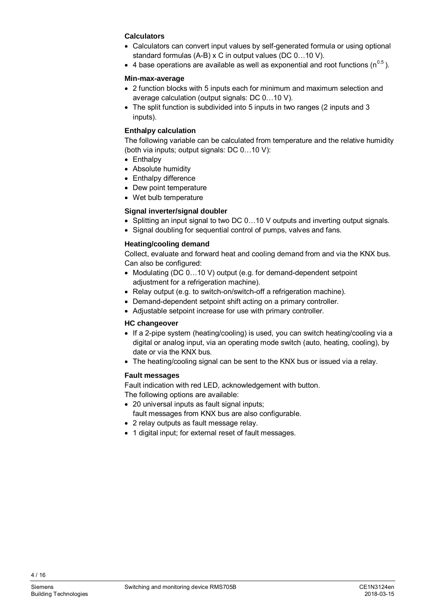#### **Calculators**

- · Calculators can convert input values by self-generated formula or using optional standard formulas (A-B) x C in output values (DC 0…10 V).
- 4 base operations are available as well as exponential and root functions ( $n^{0.5}$ ).

#### **Min-max-average**

- · 2 function blocks with 5 inputs each for minimum and maximum selection and average calculation (output signals: DC 0…10 V).
- The split function is subdivided into 5 inputs in two ranges (2 inputs and 3 inputs).

#### **Enthalpy calculation**

The following variable can be calculated from temperature and the relative humidity (both via inputs; output signals: DC 0…10 V):

- · Enthalpy
- · Absolute humidity
- · Enthalpy difference
- · Dew point temperature
- · Wet bulb temperature

#### **Signal inverter/signal doubler**

- · Splitting an input signal to two DC 0…10 V outputs and inverting output signals.
- Signal doubling for sequential control of pumps, valves and fans.

#### **Heating/cooling demand**

Collect, evaluate and forward heat and cooling demand from and via the KNX bus. Can also be configured:

- Modulating (DC 0...10 V) output (e.g. for demand-dependent setpoint adjustment for a refrigeration machine).
- · Relay output (e.g. to switch-on/switch-off a refrigeration machine).
- · Demand-dependent setpoint shift acting on a primary controller.
- · Adjustable setpoint increase for use with primary controller.

#### **HC changeover**

- · If a 2-pipe system (heating/cooling) is used, you can switch heating/cooling via a digital or analog input, via an operating mode switch (auto, heating, cooling), by date or via the KNX bus.
- The heating/cooling signal can be sent to the KNX bus or issued via a relay.

#### **Fault messages**

Fault indication with red LED, acknowledgement with button. The following options are available:

· 20 universal inputs as fault signal inputs;

fault messages from KNX bus are also configurable.

- · 2 relay outputs as fault message relay.
- · 1 digital input; for external reset of fault messages.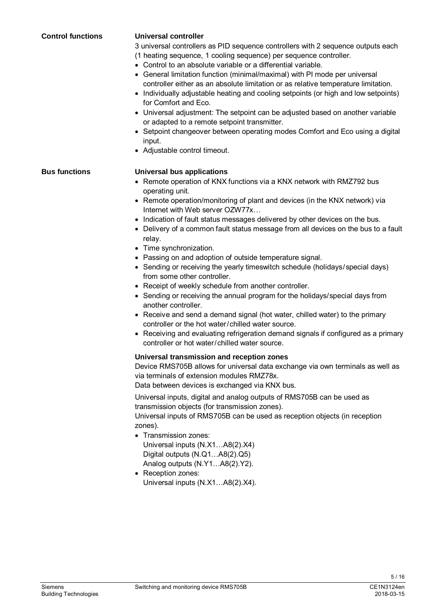3 universal controllers as PID sequence controllers with 2 sequence outputs each (1 heating sequence, 1 cooling sequence) per sequence controller. · Control to an absolute variable or a differential variable. · General limitation function (minimal/maximal) with PI mode per universal controller either as an absolute limitation or as relative temperature limitation. · Individually adjustable heating and cooling setpoints (or high and low setpoints) for Comfort and Eco. · Universal adjustment: The setpoint can be adjusted based on another variable or adapted to a remote setpoint transmitter. · Setpoint changeover between operating modes Comfort and Eco using a digital input. · Adjustable control timeout. **Universal bus applications** • Remote operation of KNX functions via a KNX network with RMZ792 bus operating unit. · Remote operation/monitoring of plant and devices (in the KNX network) via Internet with Web server OZW77x… · Indication of fault status messages delivered by other devices on the bus. · Delivery of a common fault status message from all devices on the bus to a fault relay. · Time synchronization. · Passing on and adoption of outside temperature signal. • Sending or receiving the yearly timeswitch schedule (holidays/special days) from some other controller. · Receipt of weekly schedule from another controller. · Sending or receiving the annual program for the holidays/special days from another controller. · Receive and send a demand signal (hot water, chilled water) to the primary controller or the hot water/chilled water source. · Receiving and evaluating refrigeration demand signals if configured as a primary controller or hot water/chilled water source. **Universal transmission and reception zones** Device RMS705B allows for universal data exchange via own terminals as well as via terminals of extension modules RMZ78x. Data between devices is exchanged via KNX bus. **Bus functions**

**Universal controller**

**Control functions**

Universal inputs, digital and analog outputs of RMS705B can be used as transmission objects (for transmission zones).

Universal inputs of RMS705B can be used as reception objects (in reception zones).

- · Transmission zones: Universal inputs (N.X1…A8(2).X4) Digital outputs (N.Q1…A8(2).Q5) Analog outputs (N.Y1…A8(2).Y2).
- Reception zones: Universal inputs (N.X1…A8(2).X4).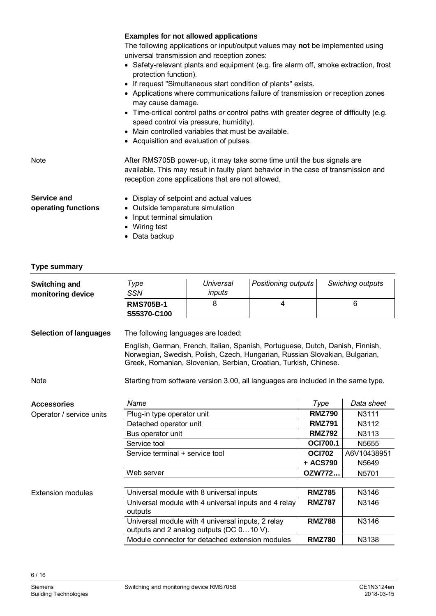|                                           | <b>Examples for not allowed applications</b>                                                                                                                                                                        |
|-------------------------------------------|---------------------------------------------------------------------------------------------------------------------------------------------------------------------------------------------------------------------|
|                                           | The following applications or input/output values may not be implemented using                                                                                                                                      |
|                                           | universal transmission and reception zones:                                                                                                                                                                         |
|                                           | • Safety-relevant plants and equipment (e.g. fire alarm off, smoke extraction, frost<br>protection function).                                                                                                       |
|                                           | • If request "Simultaneous start condition of plants" exists.                                                                                                                                                       |
|                                           | • Applications where communications failure of transmission or reception zones<br>may cause damage.                                                                                                                 |
|                                           | • Time-critical control paths or control paths with greater degree of difficulty (e.g.<br>speed control via pressure, humidity).                                                                                    |
|                                           | • Main controlled variables that must be available.                                                                                                                                                                 |
|                                           | • Acquisition and evaluation of pulses.                                                                                                                                                                             |
| <b>Note</b>                               | After RMS705B power-up, it may take some time until the bus signals are<br>available. This may result in faulty plant behavior in the case of transmission and<br>reception zone applications that are not allowed. |
| <b>Service and</b><br>operating functions | • Display of setpoint and actual values<br>• Outside temperature simulation<br>Input terminal simulation<br>$\bullet$<br>• Wiring test                                                                              |
|                                           | Data backup                                                                                                                                                                                                         |
|                                           |                                                                                                                                                                                                                     |

### **Type summary**

| <b>Switching and</b><br>monitoring device | Type<br><b>SSN</b>                                                                                                                                                                                                                | Universal<br>inputs                                                                           | Positioning outputs |                 | Swiching outputs |
|-------------------------------------------|-----------------------------------------------------------------------------------------------------------------------------------------------------------------------------------------------------------------------------------|-----------------------------------------------------------------------------------------------|---------------------|-----------------|------------------|
|                                           | <b>RMS705B-1</b><br>S55370-C100                                                                                                                                                                                                   | 8                                                                                             | 4                   |                 | 6                |
| <b>Selection of languages</b>             | The following languages are loaded:                                                                                                                                                                                               |                                                                                               |                     |                 |                  |
|                                           | English, German, French, Italian, Spanish, Portuguese, Dutch, Danish, Finnish,<br>Norwegian, Swedish, Polish, Czech, Hungarian, Russian Slovakian, Bulgarian,<br>Greek, Romanian, Slovenian, Serbian, Croatian, Turkish, Chinese. |                                                                                               |                     |                 |                  |
| <b>Note</b>                               | Starting from software version 3.00, all languages are included in the same type.                                                                                                                                                 |                                                                                               |                     |                 |                  |
| <b>Accessories</b>                        | Name                                                                                                                                                                                                                              |                                                                                               |                     | Type            | Data sheet       |
| Operator / service units                  | Plug-in type operator unit                                                                                                                                                                                                        |                                                                                               | <b>RMZ790</b>       | N3111           |                  |
|                                           | Detached operator unit                                                                                                                                                                                                            |                                                                                               |                     | <b>RMZ791</b>   | N3112            |
|                                           | Bus operator unit                                                                                                                                                                                                                 |                                                                                               |                     | <b>RMZ792</b>   | N3113            |
|                                           | Service tool                                                                                                                                                                                                                      |                                                                                               |                     | <b>OCI700.1</b> | N5655            |
|                                           | Service terminal + service tool                                                                                                                                                                                                   |                                                                                               |                     | <b>OCI702</b>   | A6V10438951      |
|                                           |                                                                                                                                                                                                                                   |                                                                                               |                     | + ACS790        | N5649            |
|                                           | Web server                                                                                                                                                                                                                        |                                                                                               |                     | OZW772          | N5701            |
|                                           |                                                                                                                                                                                                                                   |                                                                                               |                     |                 |                  |
| <b>Extension modules</b>                  |                                                                                                                                                                                                                                   | Universal module with 8 universal inputs                                                      |                     | <b>RMZ785</b>   | N3146            |
|                                           | outputs                                                                                                                                                                                                                           | Universal module with 4 universal inputs and 4 relay                                          |                     | <b>RMZ787</b>   | N3146            |
|                                           |                                                                                                                                                                                                                                   | Universal module with 4 universal inputs, 2 relay<br>outputs and 2 analog outputs (DC 010 V). |                     | <b>RMZ788</b>   | N3146            |
|                                           |                                                                                                                                                                                                                                   | Module connector for detached extension modules                                               |                     | <b>RMZ780</b>   | N3138            |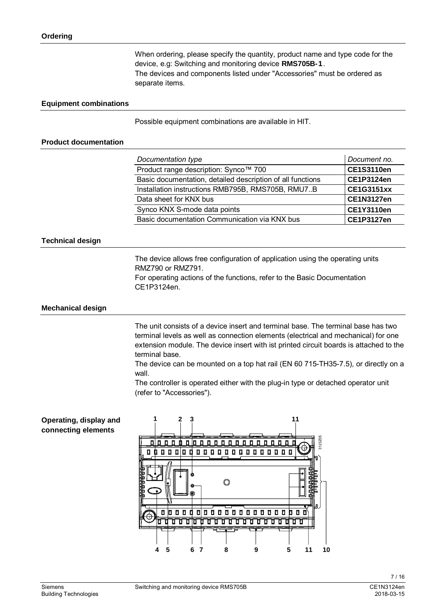When ordering, please specify the quantity, product name and type code for the device, e.g: Switching and monitoring device **RMS705B-1**. The devices and components listed under "Accessories" must be ordered as separate items.

#### **Equipment combinations**

Possible equipment combinations are available in HIT.

#### **Product documentation**

| Documentation type                                         | Document no.      |
|------------------------------------------------------------|-------------------|
| Product range description: Synco™ 700                      | <b>CE1S3110en</b> |
| Basic documentation, detailed description of all functions | <b>CE1P3124en</b> |
| Installation instructions RMB795B, RMS705B, RMU7B          | <b>CE1G3151xx</b> |
| Data sheet for KNX bus                                     | <b>CE1N3127en</b> |
| Synco KNX S-mode data points                               | <b>CE1Y3110en</b> |
| Basic documentation Communication via KNX bus              | <b>CE1P3127en</b> |

#### **Technical design**

The device allows free configuration of application using the operating units RMZ790 or RMZ791.

For operating actions of the functions, refer to the Basic Documentation CE1P3124en.

#### **Mechanical design**

The unit consists of a device insert and terminal base. The terminal base has two terminal levels as well as connection elements (electrical and mechanical) for one extension module. The device insert with ist printed circuit boards is attached to the terminal base.

The device can be mounted on a top hat rail (EN 60 715-TH35-7.5), or directly on a wall.

The controller is operated either with the plug-in type or detached operator unit (refer to "Accessories").

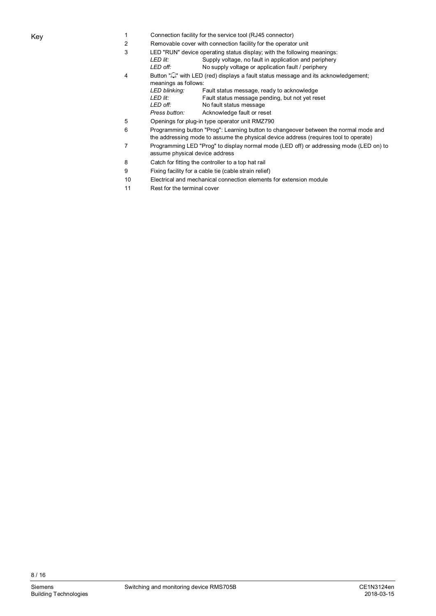- 1 Connection facility for the service tool (RJ45 connector)
- 2 Removable cover with connection facility for the operator unit
- 3 LED "RUN" device operating status display; with the following meanings:<br>LED lit: Supply voltage, no fault in application and periphery
	- Supply voltage, no fault in application and periphery *LED off:* No supply voltage or application fault / periphery
- 4 Button " $\Box$ " with LED (red) displays a fault status message and its acknowledgement; meanings as follows: *LED blinking:* Fault status message, ready to acknowledge
	-
	- *LED lit:* Fault status message pending, but not yet reset LED off: Not ault status message No fault status message
	- *Press button:* Acknowledge fault or reset
- 5 Openings for plug-in type operator unit RMZ790
- 6 Programming button "Prog": Learning button to changeover between the normal mode and the addressing mode to assume the physical device address (requires tool to operate)
- 7 Programming LED "Prog" to display normal mode (LED off) or addressing mode (LED on) to assume physical device address
- 8 Catch for fitting the controller to a top hat rail
- 9 Fixing facility for a cable tie (cable strain relief)
- 10 Electrical and mechanical connection elements for extension module
- 11 Rest for the terminal cover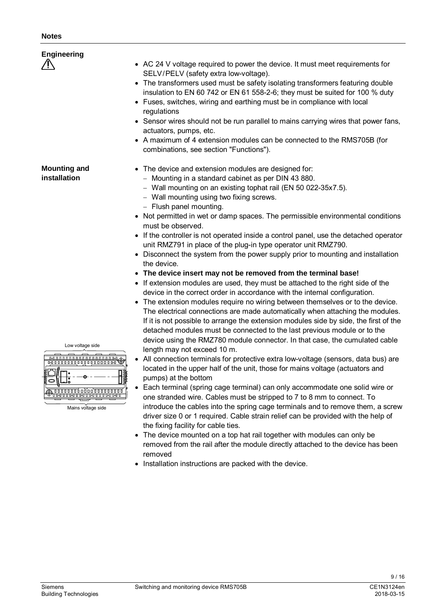| <b>Notes</b>                                                                                                               |                                                                                                                                                                                                                                                                                                                                                                                                                                                                                                                                                                                                                                                                                                                                                                                                                                                                                                                                                                                                                                                                                                                     |
|----------------------------------------------------------------------------------------------------------------------------|---------------------------------------------------------------------------------------------------------------------------------------------------------------------------------------------------------------------------------------------------------------------------------------------------------------------------------------------------------------------------------------------------------------------------------------------------------------------------------------------------------------------------------------------------------------------------------------------------------------------------------------------------------------------------------------------------------------------------------------------------------------------------------------------------------------------------------------------------------------------------------------------------------------------------------------------------------------------------------------------------------------------------------------------------------------------------------------------------------------------|
| <b>Engineering</b>                                                                                                         | • AC 24 V voltage required to power the device. It must meet requirements for<br>SELV/PELV (safety extra low-voltage).<br>• The transformers used must be safety isolating transformers featuring double<br>insulation to EN 60 742 or EN 61 558-2-6; they must be suited for 100 % duty<br>• Fuses, switches, wiring and earthing must be in compliance with local<br>regulations<br>• Sensor wires should not be run parallel to mains carrying wires that power fans,<br>actuators, pumps, etc.<br>• A maximum of 4 extension modules can be connected to the RMS705B (for<br>combinations, see section "Functions").                                                                                                                                                                                                                                                                                                                                                                                                                                                                                            |
| <b>Mounting and</b><br>installation                                                                                        | • The device and extension modules are designed for:<br>- Mounting in a standard cabinet as per DIN 43 880.<br>- Wall mounting on an existing tophat rail (EN 50 022-35x7.5).<br>- Wall mounting using two fixing screws.<br>- Flush panel mounting.<br>• Not permitted in wet or damp spaces. The permissible environmental conditions<br>must be observed.<br>• If the controller is not operated inside a control panel, use the detached operator<br>unit RMZ791 in place of the plug-in type operator unit RMZ790.<br>• Disconnect the system from the power supply prior to mounting and installation<br>the device.<br>• The device insert may not be removed from the terminal base!<br>If extension modules are used, they must be attached to the right side of the<br>device in the correct order in accordance with the internal configuration.<br>The extension modules require no wiring between themselves or to the device.                                                                                                                                                                         |
| Low voltage side<br>000000000000000000000<br>۰<br>00000000000000000000<br>,,,,,,,,,,,,,,,,,,,,,,,,,,<br>Mains voltage side | The electrical connections are made automatically when attaching the modules.<br>If it is not possible to arrange the extension modules side by side, the first of the<br>detached modules must be connected to the last previous module or to the<br>device using the RMZ780 module connector. In that case, the cumulated cable<br>length may not exceed 10 m.<br>All connection terminals for protective extra low-voltage (sensors, data bus) are<br>located in the upper half of the unit, those for mains voltage (actuators and<br>pumps) at the bottom<br>Each terminal (spring cage terminal) can only accommodate one solid wire or<br>٠<br>one stranded wire. Cables must be stripped to 7 to 8 mm to connect. To<br>introduce the cables into the spring cage terminals and to remove them, a screw<br>driver size 0 or 1 required. Cable strain relief can be provided with the help of<br>the fixing facility for cable ties.<br>The device mounted on a top hat rail together with modules can only be<br>removed from the rail after the module directly attached to the device has been<br>removed |

· Installation instructions are packed with the device.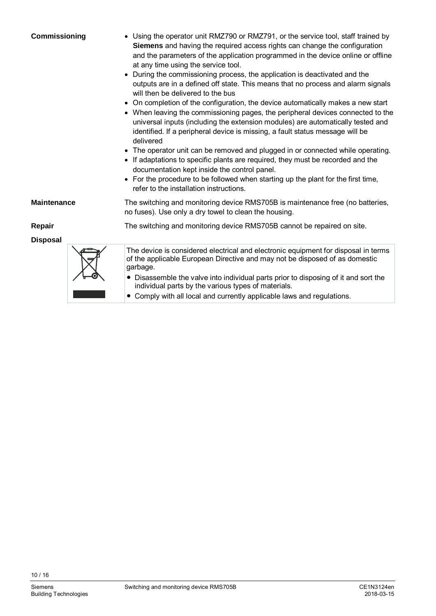| Commissioning      | • Using the operator unit RMZ790 or RMZ791, or the service tool, staff trained by<br>Siemens and having the required access rights can change the configuration<br>and the parameters of the application programmed in the device online or offline<br>at any time using the service tool.<br>During the commissioning process, the application is deactivated and the<br>$\bullet$<br>outputs are in a defined off state. This means that no process and alarm signals<br>will then be delivered to the bus<br>On completion of the configuration, the device automatically makes a new start<br>$\bullet$<br>• When leaving the commissioning pages, the peripheral devices connected to the<br>universal inputs (including the extension modules) are automatically tested and<br>identified. If a peripheral device is missing, a fault status message will be<br>delivered<br>The operator unit can be removed and plugged in or connected while operating.<br>$\bullet$<br>If adaptations to specific plants are required, they must be recorded and the<br>documentation kept inside the control panel.<br>• For the procedure to be followed when starting up the plant for the first time,<br>refer to the installation instructions. |  |
|--------------------|------------------------------------------------------------------------------------------------------------------------------------------------------------------------------------------------------------------------------------------------------------------------------------------------------------------------------------------------------------------------------------------------------------------------------------------------------------------------------------------------------------------------------------------------------------------------------------------------------------------------------------------------------------------------------------------------------------------------------------------------------------------------------------------------------------------------------------------------------------------------------------------------------------------------------------------------------------------------------------------------------------------------------------------------------------------------------------------------------------------------------------------------------------------------------------------------------------------------------------------------|--|
| <b>Maintenance</b> | The switching and monitoring device RMS705B is maintenance free (no batteries,<br>no fuses). Use only a dry towel to clean the housing.                                                                                                                                                                                                                                                                                                                                                                                                                                                                                                                                                                                                                                                                                                                                                                                                                                                                                                                                                                                                                                                                                                        |  |
| Repair             | The switching and monitoring device RMS705B cannot be repaired on site.                                                                                                                                                                                                                                                                                                                                                                                                                                                                                                                                                                                                                                                                                                                                                                                                                                                                                                                                                                                                                                                                                                                                                                        |  |
| <b>Disposal</b>    |                                                                                                                                                                                                                                                                                                                                                                                                                                                                                                                                                                                                                                                                                                                                                                                                                                                                                                                                                                                                                                                                                                                                                                                                                                                |  |
|                    | The device is considered electrical and electronic equipment for disposal in terms<br>of the applicable European Directive and may not be disposed of as domestic<br>garbage.<br>Disassemble the valve into individual parts prior to disposing of it and sort the<br>individual parts by the various types of materials.                                                                                                                                                                                                                                                                                                                                                                                                                                                                                                                                                                                                                                                                                                                                                                                                                                                                                                                      |  |
|                    |                                                                                                                                                                                                                                                                                                                                                                                                                                                                                                                                                                                                                                                                                                                                                                                                                                                                                                                                                                                                                                                                                                                                                                                                                                                |  |

● Comply with all local and currently applicable laws and regulations.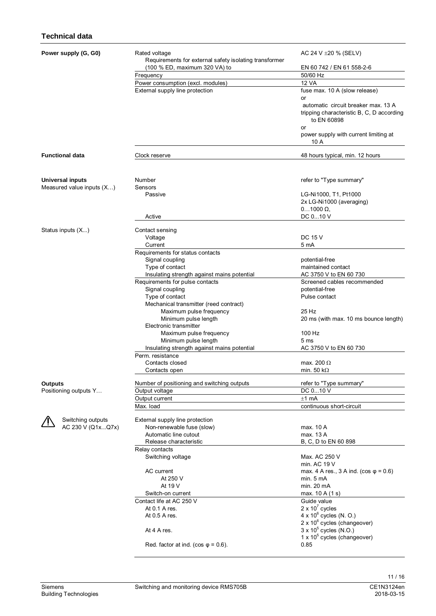#### **Technical data**

| Power supply (G, G0)      | Rated voltage<br>Requirements for external safety isolating transformer | AC 24 V $\pm 20$ % (SELV)                                                                       |
|---------------------------|-------------------------------------------------------------------------|-------------------------------------------------------------------------------------------------|
|                           | (100 % ED, maximum 320 VA) to                                           | EN 60 742 / EN 61 558-2-6                                                                       |
|                           | Frequency                                                               | 50/60 Hz                                                                                        |
|                           | Power consumption (excl. modules)                                       | <b>12 VA</b>                                                                                    |
|                           | External supply line protection                                         | fuse max. 10 A (slow release)<br>or                                                             |
|                           |                                                                         | automatic circuit breaker max. 13 A<br>tripping characteristic B, C, D according<br>to EN 60898 |
|                           |                                                                         | or<br>power supply with current limiting at<br>10 A                                             |
| <b>Functional data</b>    | Clock reserve                                                           | 48 hours typical, min. 12 hours                                                                 |
|                           |                                                                         |                                                                                                 |
| <b>Universal inputs</b>   | Number                                                                  | refer to "Type summary"                                                                         |
| Measured value inputs (X) | Sensors<br>Passive                                                      | LG-Ni1000, T1, Pt1000<br>2x LG-Ni1000 (averaging)<br>$01000 \Omega$                             |
|                           | Active                                                                  | DC 010 V                                                                                        |
|                           |                                                                         |                                                                                                 |
| Status inputs (X)         | Contact sensing                                                         |                                                                                                 |
|                           | Voltage                                                                 | <b>DC 15 V</b>                                                                                  |
|                           | Current                                                                 | 5 mA                                                                                            |
|                           | Requirements for status contacts                                        |                                                                                                 |
|                           | Signal coupling<br>Type of contact                                      | potential-free<br>maintained contact                                                            |
|                           | Insulating strength against mains potential                             | AC 3750 V to EN 60 730                                                                          |
|                           | Requirements for pulse contacts                                         | Screened cables recommended                                                                     |
|                           | Signal coupling                                                         | potential-free                                                                                  |
|                           | Type of contact                                                         | Pulse contact                                                                                   |
|                           | Mechanical transmitter (reed contract)                                  |                                                                                                 |
|                           | Maximum pulse frequency                                                 | 25 Hz                                                                                           |
|                           | Minimum pulse length                                                    | 20 ms (with max. 10 ms bounce length)                                                           |
|                           | Electronic transmitter                                                  |                                                                                                 |
|                           | Maximum pulse frequency                                                 | 100 Hz                                                                                          |
|                           | Minimum pulse length                                                    | 5 <sub>ms</sub>                                                                                 |
|                           | Insulating strength against mains potential                             | AC 3750 V to EN 60 730                                                                          |
|                           | Perm. resistance                                                        |                                                                                                 |
|                           | Contacts closed                                                         | max. 200 $\Omega$                                                                               |
|                           | Contacts open                                                           | min. 50 k $\Omega$                                                                              |
| <b>Outputs</b>            | Number of positioning and switching outputs                             | refer to "Type summary"                                                                         |
| Positioning outputs Y     | Output voltage                                                          | DC 010 V                                                                                        |
|                           | Output current                                                          | $±1$ mA                                                                                         |
|                           | Max. load                                                               | continuous short-circuit                                                                        |
| Switching outputs         | External supply line protection                                         |                                                                                                 |
| AC 230 V (Q1xQ7x)         | Non-renewable fuse (slow)                                               | max. 10 A                                                                                       |
|                           | Automatic line cutout                                                   | max. 13 A                                                                                       |
|                           | Release characteristic                                                  | B, C, D to EN 60 898                                                                            |
|                           | Relay contacts                                                          |                                                                                                 |
|                           | Switching voltage                                                       | Max. AC 250 V                                                                                   |
|                           |                                                                         | min. AC 19 V                                                                                    |
|                           | AC current                                                              | max. 4 A res., 3 A ind. ( $\cos \varphi = 0.6$ )                                                |
|                           | At 250 V                                                                | min. 5 mA                                                                                       |
|                           | At 19 V                                                                 | min. 20 mA                                                                                      |
|                           | Switch-on current                                                       | max. 10 A (1 s)                                                                                 |
|                           | Contact life at AC 250 V                                                | Guide value                                                                                     |
|                           | At 0.1 A res.                                                           | 2 x $10^7$ cycles                                                                               |
|                           | At 0.5 A res.                                                           | $4 \times 10^6$ cycles (N. O.)                                                                  |
|                           |                                                                         | $2 \times 10^6$ cycles (changeover)                                                             |
|                           | At 4 A res.                                                             | $3 \times 10^5$ cycles (N.O.)<br>$1 \times 10^5$ cycles (changeover)                            |
|                           | Red. factor at ind. (cos $\varphi$ = 0.6).                              | 0.85                                                                                            |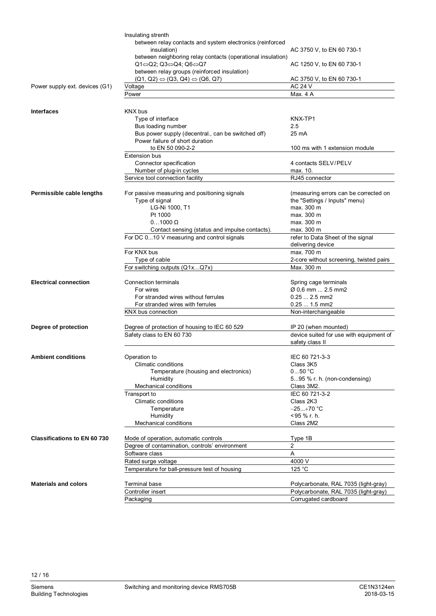|                                     | Insulating strenth                                                          |                                         |
|-------------------------------------|-----------------------------------------------------------------------------|-----------------------------------------|
|                                     | between relay contacts and system electronics (reinforced                   |                                         |
|                                     | insulation)                                                                 | AC 3750 V, to EN 60 730-1               |
|                                     | between neighboring relay contacts (operational insulation)                 |                                         |
|                                     | $Q1 \Leftrightarrow Q2$ ; $Q3 \Leftrightarrow Q4$ ; $Q6 \Leftrightarrow Q7$ | AC 1250 V, to EN 60 730-1               |
|                                     | between relay groups (reinforced insulation)                                |                                         |
|                                     | $(Q1, Q2) \Leftrightarrow (Q3, Q4) \Leftrightarrow (Q6, Q7)$                | AC 3750 V, to EN 60 730-1               |
| Power supply ext. devices (G1)      | Voltage                                                                     | <b>AC 24 V</b>                          |
|                                     | Power                                                                       | Max. 4 A                                |
|                                     |                                                                             |                                         |
|                                     |                                                                             |                                         |
| <b>Interfaces</b>                   | KNX bus                                                                     |                                         |
|                                     | Type of interface                                                           | KNX-TP1                                 |
|                                     | Bus loading number                                                          | 2.5                                     |
|                                     | Bus power supply (decentral., can be switched off)                          | 25 mA                                   |
|                                     | Power failure of short duration                                             |                                         |
|                                     | to EN 50 090-2-2                                                            | 100 ms with 1 extension module          |
|                                     | <b>Extension bus</b>                                                        |                                         |
|                                     | Connector specification                                                     | 4 contacts SELV/PELV                    |
|                                     | Number of plug-in cycles                                                    | max. 10.                                |
|                                     | Service tool connection facility                                            | RJ45 connector                          |
|                                     |                                                                             |                                         |
| Permissible cable lengths           | For passive measuring and positioning signals                               | (measuring errors can be corrected on   |
|                                     | Type of signal                                                              | the "Settings / Inputs" menu)           |
|                                     | LG-Ni 1000, T1                                                              | max. 300 m                              |
|                                     | Pt 1000                                                                     | max. 300 m                              |
|                                     | $01000 \Omega$                                                              | max. 300 m                              |
|                                     |                                                                             |                                         |
|                                     | Contact sensing (status and impulse contacts).                              | max. 300 m                              |
|                                     | For DC 010 V measuring and control signals                                  | refer to Data Sheet of the signal       |
|                                     |                                                                             | delivering device                       |
|                                     | For KNX bus                                                                 | max. 700 m                              |
|                                     | Type of cable                                                               | 2-core without screening, twisted pairs |
|                                     | For switching outputs (Q1xQ7x)                                              | Max. 300 m                              |
|                                     |                                                                             |                                         |
| <b>Electrical connection</b>        | Connection terminals                                                        | Spring cage terminals                   |
|                                     | For wires                                                                   | Ø 0,6 mm  2.5 mm2                       |
|                                     | For stranded wires without ferrules                                         | $0.25 2.5$ mm2                          |
|                                     | For stranded wires with ferrules                                            | $0.25$ 1.5 mm2                          |
|                                     | KNX bus connection                                                          | Non-interchangeable                     |
|                                     |                                                                             |                                         |
| Degree of protection                | Degree of protection of housing to IEC 60 529                               | IP 20 (when mounted)                    |
|                                     | Safety class to EN 60 730                                                   | device suited for use with equipment of |
|                                     |                                                                             | safety class II                         |
|                                     |                                                                             |                                         |
| <b>Ambient conditions</b>           | Operation to                                                                | IEC 60 721-3-3                          |
|                                     | <b>Climatic conditions</b>                                                  | Class 3K5                               |
|                                     | Temperature (housing and electronics)                                       | $050$ °C                                |
|                                     | Humidity                                                                    | 595 % r. h. (non-condensing)            |
|                                     | Mechanical conditions                                                       | Class 3M2.                              |
|                                     |                                                                             |                                         |
|                                     | Transport to                                                                | IEC 60 721-3-2                          |
|                                     | <b>Climatic conditions</b>                                                  | Class 2K3                               |
|                                     | Temperature                                                                 | $-25+70$ °C                             |
|                                     | Humidity                                                                    | <95 % r. h.                             |
|                                     | <b>Mechanical conditions</b>                                                | Class 2M2                               |
|                                     |                                                                             |                                         |
| <b>Classifications to EN 60 730</b> | Mode of operation, automatic controls                                       | Type 1B                                 |
|                                     | Degree of contamination, controls' environment                              | 2                                       |
|                                     | Software class                                                              | Α                                       |
|                                     | Rated surge voltage                                                         | 4000 V                                  |
|                                     | Temperature for ball-pressure test of housing                               | 125 °C                                  |
|                                     |                                                                             |                                         |
| <b>Materials and colors</b>         | Terminal base                                                               | Polycarbonate, RAL 7035 (light-gray)    |
|                                     | Controller insert                                                           | Polycarbonate, RAL 7035 (light-gray)    |
|                                     | Packaging                                                                   | Corrugated cardboard                    |
|                                     |                                                                             |                                         |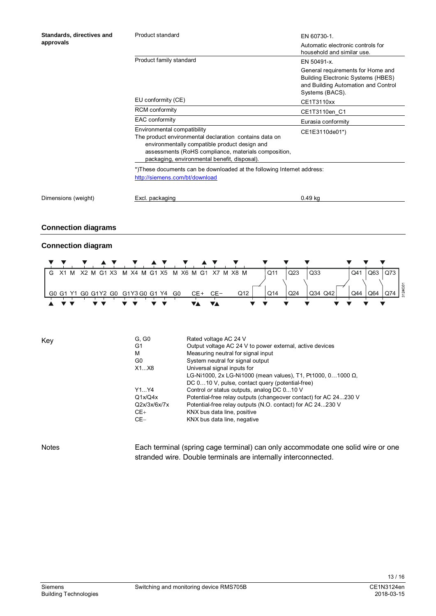| Standards, directives and<br>approvals | Product standard                                                                                                                                                                                                                               | EN 60730-1.                                                                                                                              |
|----------------------------------------|------------------------------------------------------------------------------------------------------------------------------------------------------------------------------------------------------------------------------------------------|------------------------------------------------------------------------------------------------------------------------------------------|
|                                        |                                                                                                                                                                                                                                                | Automatic electronic controls for<br>household and similar use.                                                                          |
|                                        | Product family standard                                                                                                                                                                                                                        | EN 50491-x.                                                                                                                              |
|                                        |                                                                                                                                                                                                                                                | General requirements for Home and<br><b>Building Electronic Systems (HBES)</b><br>and Building Automation and Control<br>Systems (BACS). |
|                                        | EU conformity (CE)                                                                                                                                                                                                                             | CE1T3110xx                                                                                                                               |
|                                        | <b>RCM</b> conformity                                                                                                                                                                                                                          | CE1T3110en C1                                                                                                                            |
|                                        | <b>EAC conformity</b>                                                                                                                                                                                                                          | Eurasia conformity                                                                                                                       |
|                                        | Environmental compatibility<br>The product environmental declaration contains data on<br>environmentally compatible product design and<br>assessments (RoHS compliance, materials composition,<br>packaging, environmental benefit, disposal). | CE1E3110de01*)                                                                                                                           |
|                                        | *)These documents can be downloaded at the following Internet address:<br>http://siemens.com/bt/download                                                                                                                                       |                                                                                                                                          |
| Dimensions (weight)                    | Excl. packaging                                                                                                                                                                                                                                | $0.49$ kg                                                                                                                                |

#### **Connection diagrams**

#### **Connection diagram**



| Key          | G, G0          | Rated voltage AC 24 V                                                    |
|--------------|----------------|--------------------------------------------------------------------------|
|              | G <sub>1</sub> | Output voltage AC 24 V to power external, active devices                 |
|              | м              | Measuring neutral for signal input                                       |
|              | G0             | System neutral for signal output                                         |
|              | X1X8           | Universal signal inputs for                                              |
|              |                | LG-Ni1000, 2x LG-Ni1000 (mean values), T1, Pt1000, 01000 $\Omega$ .      |
|              |                | DC 010 V, pulse, contact query (potential-free)                          |
|              | Y1Y4           | Control or status outputs, analog DC 010 V                               |
|              | Q1x/Q4x        | Potential-free relay outputs (changeover contact) for AC 24230 V         |
|              | Q2x/3x/6x/7x   | Potential-free relay outputs (N.O. contact) for AC 24230 V               |
|              | $CE+$          | KNX bus data line, positive                                              |
|              | $CE-$          | KNX bus data line, negative                                              |
|              |                |                                                                          |
| <b>Notes</b> |                | Each terminal (spring cage terminal) can only accommodate one solid wire |

Each terminal (spring cage terminal) can only accommodate one solid wire or one stranded wire. Double terminals are internally interconnected.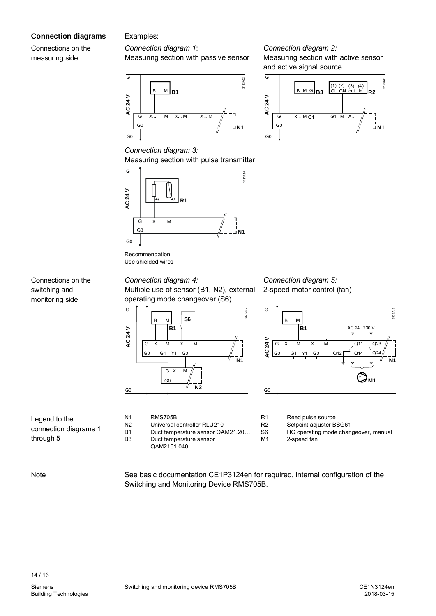#### **Connection diagrams**

Connections on the measuring side

Connections on the switching and monitoring side

#### Examples:

#### *Connection diagram 1*:

Measuring section with passive sensor



#### *Connection diagram 2:* Measuring section with active sensor and active signal source



#### *Connection diagram 3:* Measuring section with pulse transmitter



Recommendation: Use shielded wires

#### *Connection diagram 4:*

Multiple use of sensor (B1, N2), external operating mode changeover (S6)



| Ν1 | <b>RMS705B</b>                   |
|----|----------------------------------|
| N2 | Universal controller RLU210      |
| B1 | Duct temperature sensor QAM21.20 |
| B3 | Duct temperature sensor          |
|    | QAM2161.040                      |

#### *Connection diagram 5:* 2-speed motor control (fan)



R1 Reed pulse source

R2 Setpoint adjuster BSG61<br>S6 HC operating mode chan

HC operating mode changeover, manual

M1 2-speed fan

**Note** 

Legend to the

through 5

connection diagrams 1

See basic documentation CE1P3124en for required, internal configuration of the Switching and Monitoring Device RMS705B.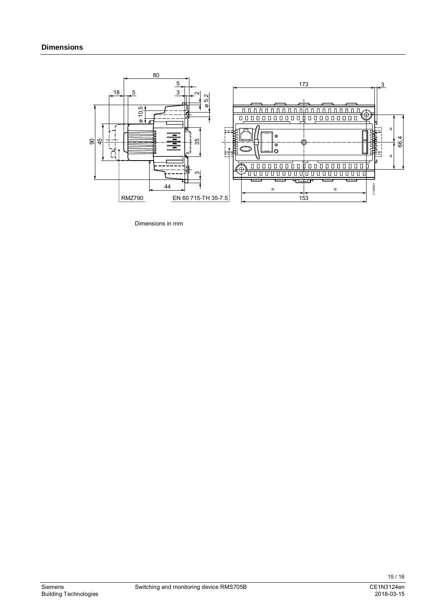

Dimensions in mm